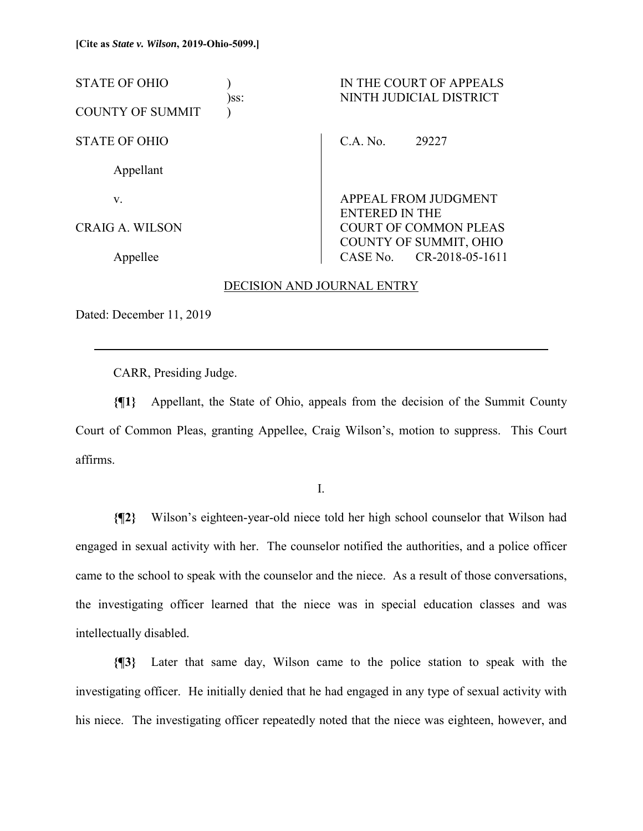| <b>STATE OF OHIO</b><br><b>COUNTY OF SUMMIT</b> | $)$ SS: | IN THE COURT OF APPEALS<br>NINTH JUDICIAL DISTRICT |                                                                          |  |
|-------------------------------------------------|---------|----------------------------------------------------|--------------------------------------------------------------------------|--|
| <b>STATE OF OHIO</b>                            |         | C.A. No.                                           | 29227                                                                    |  |
| Appellant                                       |         |                                                    |                                                                          |  |
| V.                                              |         |                                                    | APPEAL FROM JUDGMENT                                                     |  |
| CRAIG A. WILSON                                 |         |                                                    | <b>ENTERED IN THE</b><br>COURT OF COMMON PLEAS<br>COUNTY OF SUMMIT, OHIO |  |
| Appellee                                        |         |                                                    | CASE No. CR-2018-05-1611                                                 |  |

### DECISION AND JOURNAL ENTRY

Dated: December 11, 2019

 $\overline{a}$ 

CARR, Presiding Judge.

**{¶1}** Appellant, the State of Ohio, appeals from the decision of the Summit County Court of Common Pleas, granting Appellee, Craig Wilson's, motion to suppress. This Court affirms.

I.

**{¶2}** Wilson's eighteen-year-old niece told her high school counselor that Wilson had engaged in sexual activity with her. The counselor notified the authorities, and a police officer came to the school to speak with the counselor and the niece. As a result of those conversations, the investigating officer learned that the niece was in special education classes and was intellectually disabled.

**{¶3}** Later that same day, Wilson came to the police station to speak with the investigating officer. He initially denied that he had engaged in any type of sexual activity with his niece. The investigating officer repeatedly noted that the niece was eighteen, however, and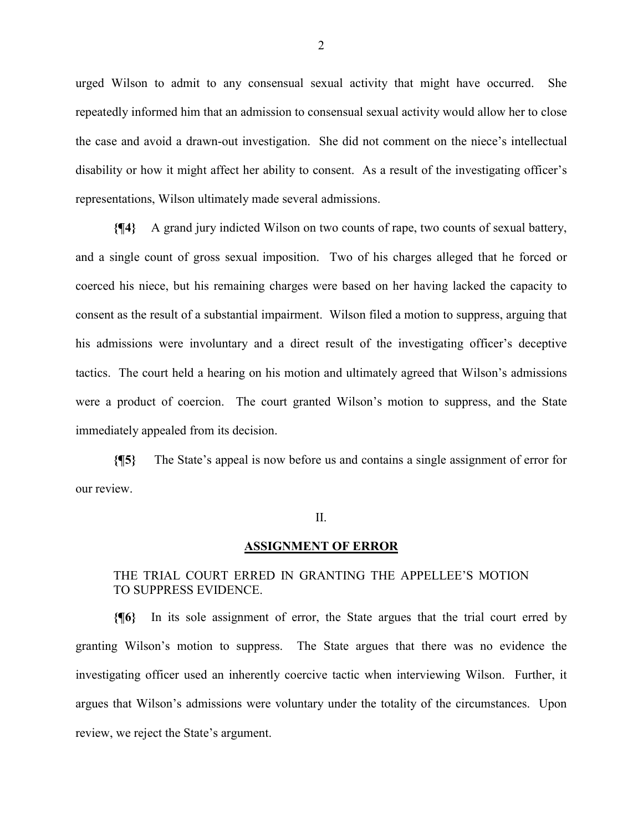urged Wilson to admit to any consensual sexual activity that might have occurred. She repeatedly informed him that an admission to consensual sexual activity would allow her to close the case and avoid a drawn-out investigation. She did not comment on the niece's intellectual disability or how it might affect her ability to consent. As a result of the investigating officer's representations, Wilson ultimately made several admissions.

**{¶4}** A grand jury indicted Wilson on two counts of rape, two counts of sexual battery, and a single count of gross sexual imposition. Two of his charges alleged that he forced or coerced his niece, but his remaining charges were based on her having lacked the capacity to consent as the result of a substantial impairment. Wilson filed a motion to suppress, arguing that his admissions were involuntary and a direct result of the investigating officer's deceptive tactics. The court held a hearing on his motion and ultimately agreed that Wilson's admissions were a product of coercion. The court granted Wilson's motion to suppress, and the State immediately appealed from its decision.

**{¶5}** The State's appeal is now before us and contains a single assignment of error for our review.

#### II.

#### **ASSIGNMENT OF ERROR**

## THE TRIAL COURT ERRED IN GRANTING THE APPELLEE'S MOTION TO SUPPRESS EVIDENCE.

**{¶6}** In its sole assignment of error, the State argues that the trial court erred by granting Wilson's motion to suppress. The State argues that there was no evidence the investigating officer used an inherently coercive tactic when interviewing Wilson. Further, it argues that Wilson's admissions were voluntary under the totality of the circumstances. Upon review, we reject the State's argument.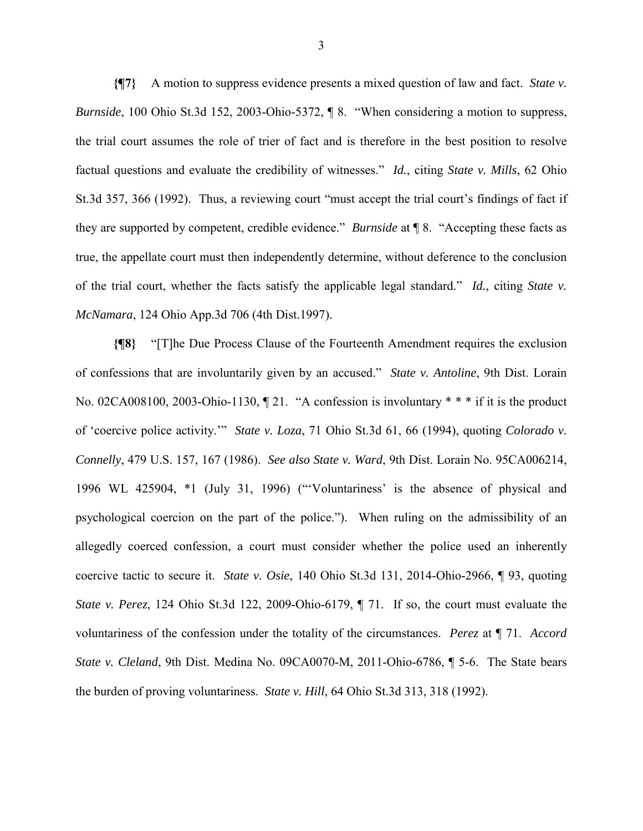**{¶7}** A motion to suppress evidence presents a mixed question of law and fact. *State v. Burnside*, 100 Ohio St.3d 152, 2003-Ohio-5372, ¶ 8. "When considering a motion to suppress, the trial court assumes the role of trier of fact and is therefore in the best position to resolve factual questions and evaluate the credibility of witnesses." *Id.*, citing *State v. Mills*, 62 Ohio St.3d 357, 366 (1992). Thus, a reviewing court "must accept the trial court's findings of fact if they are supported by competent, credible evidence." *Burnside* at ¶ 8. "Accepting these facts as true, the appellate court must then independently determine, without deference to the conclusion of the trial court, whether the facts satisfy the applicable legal standard." *Id.*, citing *State v. McNamara*, 124 Ohio App.3d 706 (4th Dist.1997).

**{¶8}** "[T]he Due Process Clause of the Fourteenth Amendment requires the exclusion of confessions that are involuntarily given by an accused." *State v. Antoline*, 9th Dist. Lorain No. 02CA008100, 2003-Ohio-1130,  $\parallel$  21. "A confession is involuntary \* \* \* if it is the product of 'coercive police activity.'" *State v. Loza*, 71 Ohio St.3d 61, 66 (1994), quoting *Colorado v. Connelly*, 479 U.S. 157, 167 (1986). *See also State v. Ward*, 9th Dist. Lorain No. 95CA006214, 1996 WL 425904, \*1 (July 31, 1996) ("'Voluntariness' is the absence of physical and psychological coercion on the part of the police."). When ruling on the admissibility of an allegedly coerced confession, a court must consider whether the police used an inherently coercive tactic to secure it. *State v. Osie*, 140 Ohio St.3d 131, 2014-Ohio-2966, ¶ 93, quoting *State v. Perez*, 124 Ohio St.3d 122, 2009-Ohio-6179, ¶ 71. If so, the court must evaluate the voluntariness of the confession under the totality of the circumstances. *Perez* at ¶ 71. *Accord State v. Cleland*, 9th Dist. Medina No. 09CA0070-M, 2011-Ohio-6786, ¶ 5-6. The State bears the burden of proving voluntariness. *State v. Hill*, 64 Ohio St.3d 313, 318 (1992).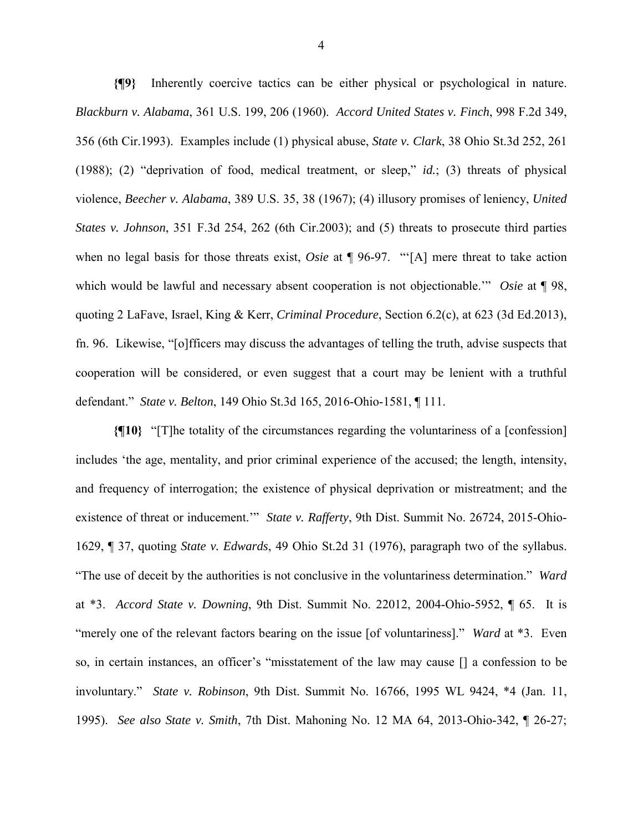**{¶9}** Inherently coercive tactics can be either physical or psychological in nature. *Blackburn v. Alabama*, 361 U.S. 199, 206 (1960). *Accord United States v. Finch*, 998 F.2d 349, 356 (6th Cir.1993). Examples include (1) physical abuse, *State v. Clark*, 38 Ohio St.3d 252, 261 (1988); (2) "deprivation of food, medical treatment, or sleep," *id.*; (3) threats of physical violence, *Beecher v. Alabama*, 389 U.S. 35, 38 (1967); (4) illusory promises of leniency, *United States v. Johnson*, 351 F.3d 254, 262 (6th Cir.2003); and (5) threats to prosecute third parties when no legal basis for those threats exist, *Osie* at ¶ 96-97. "'[A] mere threat to take action which would be lawful and necessary absent cooperation is not objectionable.'" *Osie* at ¶ 98, quoting 2 LaFave, Israel, King & Kerr, *Criminal Procedure*, Section 6.2(c), at 623 (3d Ed.2013), fn. 96. Likewise, "[o]fficers may discuss the advantages of telling the truth, advise suspects that cooperation will be considered, or even suggest that a court may be lenient with a truthful defendant." *State v. Belton*, 149 Ohio St.3d 165, 2016-Ohio-1581, ¶ 111.

**{¶10}** "[T]he totality of the circumstances regarding the voluntariness of a [confession] includes 'the age, mentality, and prior criminal experience of the accused; the length, intensity, and frequency of interrogation; the existence of physical deprivation or mistreatment; and the existence of threat or inducement.'" *State v. Rafferty*, 9th Dist. Summit No. 26724, 2015-Ohio-1629, ¶ 37, quoting *State v. Edwards*, 49 Ohio St.2d 31 (1976), paragraph two of the syllabus. "The use of deceit by the authorities is not conclusive in the voluntariness determination." *Ward* at \*3. *Accord State v. Downing*, 9th Dist. Summit No. 22012, 2004-Ohio-5952, ¶ 65. It is "merely one of the relevant factors bearing on the issue [of voluntariness]." *Ward* at \*3. Even so, in certain instances, an officer's "misstatement of the law may cause [] a confession to be involuntary." *State v. Robinson*, 9th Dist. Summit No. 16766, 1995 WL 9424, \*4 (Jan. 11, 1995). *See also State v. Smith*, 7th Dist. Mahoning No. 12 MA 64, 2013-Ohio-342, ¶ 26-27;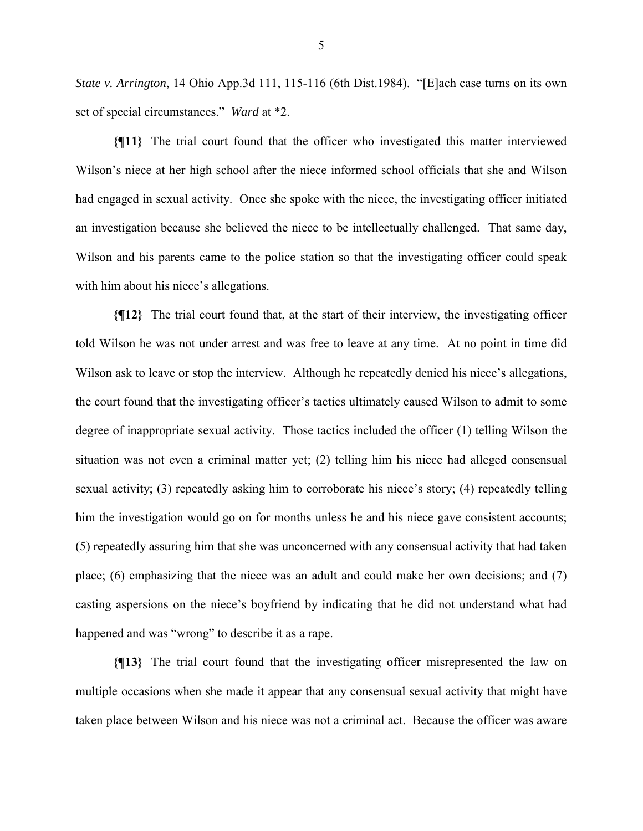*State v. Arrington*, 14 Ohio App.3d 111, 115-116 (6th Dist.1984). "[E]ach case turns on its own set of special circumstances." *Ward* at \*2.

**{¶11}** The trial court found that the officer who investigated this matter interviewed Wilson's niece at her high school after the niece informed school officials that she and Wilson had engaged in sexual activity. Once she spoke with the niece, the investigating officer initiated an investigation because she believed the niece to be intellectually challenged. That same day, Wilson and his parents came to the police station so that the investigating officer could speak with him about his niece's allegations.

**{¶12}** The trial court found that, at the start of their interview, the investigating officer told Wilson he was not under arrest and was free to leave at any time. At no point in time did Wilson ask to leave or stop the interview. Although he repeatedly denied his niece's allegations, the court found that the investigating officer's tactics ultimately caused Wilson to admit to some degree of inappropriate sexual activity. Those tactics included the officer (1) telling Wilson the situation was not even a criminal matter yet; (2) telling him his niece had alleged consensual sexual activity; (3) repeatedly asking him to corroborate his niece's story; (4) repeatedly telling him the investigation would go on for months unless he and his niece gave consistent accounts; (5) repeatedly assuring him that she was unconcerned with any consensual activity that had taken place; (6) emphasizing that the niece was an adult and could make her own decisions; and (7) casting aspersions on the niece's boyfriend by indicating that he did not understand what had happened and was "wrong" to describe it as a rape.

**{¶13}** The trial court found that the investigating officer misrepresented the law on multiple occasions when she made it appear that any consensual sexual activity that might have taken place between Wilson and his niece was not a criminal act. Because the officer was aware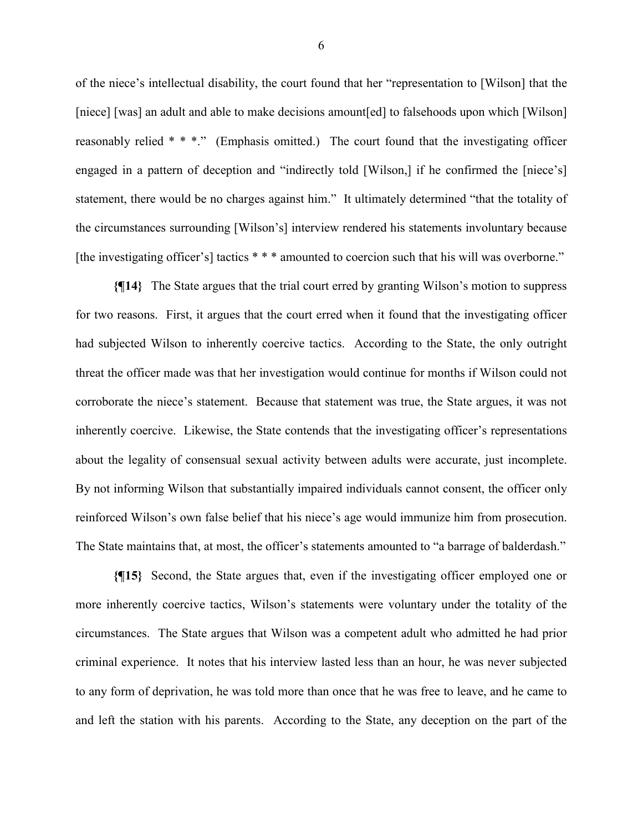of the niece's intellectual disability, the court found that her "representation to [Wilson] that the [niece] [was] an adult and able to make decisions amount[ed] to falsehoods upon which [Wilson] reasonably relied \* \* \*." (Emphasis omitted.) The court found that the investigating officer engaged in a pattern of deception and "indirectly told [Wilson,] if he confirmed the [niece's] statement, there would be no charges against him." It ultimately determined "that the totality of the circumstances surrounding [Wilson's] interview rendered his statements involuntary because [the investigating officer's] tactics \* \* \* amounted to coercion such that his will was overborne."

**{¶14}** The State argues that the trial court erred by granting Wilson's motion to suppress for two reasons. First, it argues that the court erred when it found that the investigating officer had subjected Wilson to inherently coercive tactics. According to the State, the only outright threat the officer made was that her investigation would continue for months if Wilson could not corroborate the niece's statement. Because that statement was true, the State argues, it was not inherently coercive. Likewise, the State contends that the investigating officer's representations about the legality of consensual sexual activity between adults were accurate, just incomplete. By not informing Wilson that substantially impaired individuals cannot consent, the officer only reinforced Wilson's own false belief that his niece's age would immunize him from prosecution. The State maintains that, at most, the officer's statements amounted to "a barrage of balderdash."

**{¶15}** Second, the State argues that, even if the investigating officer employed one or more inherently coercive tactics, Wilson's statements were voluntary under the totality of the circumstances. The State argues that Wilson was a competent adult who admitted he had prior criminal experience. It notes that his interview lasted less than an hour, he was never subjected to any form of deprivation, he was told more than once that he was free to leave, and he came to and left the station with his parents. According to the State, any deception on the part of the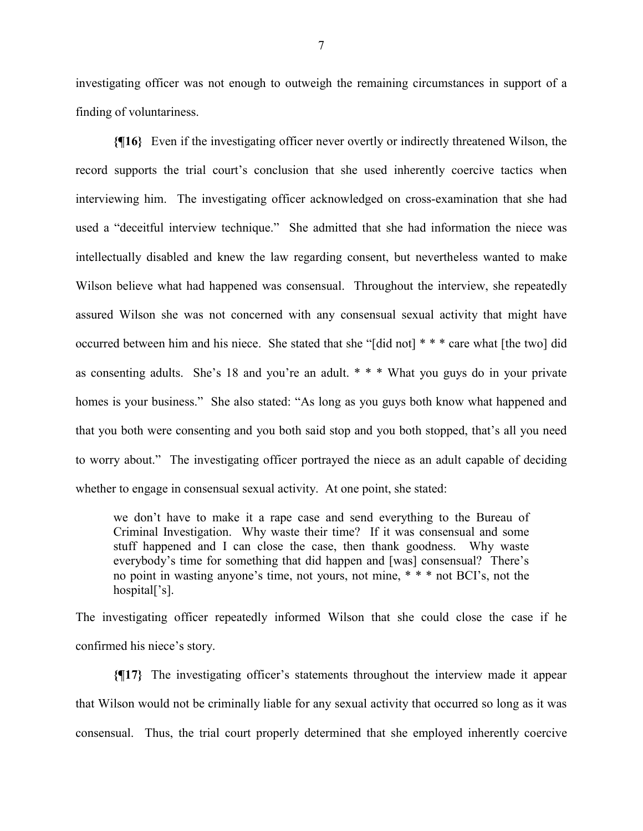investigating officer was not enough to outweigh the remaining circumstances in support of a finding of voluntariness.

**{¶16}** Even if the investigating officer never overtly or indirectly threatened Wilson, the record supports the trial court's conclusion that she used inherently coercive tactics when interviewing him. The investigating officer acknowledged on cross-examination that she had used a "deceitful interview technique." She admitted that she had information the niece was intellectually disabled and knew the law regarding consent, but nevertheless wanted to make Wilson believe what had happened was consensual. Throughout the interview, she repeatedly assured Wilson she was not concerned with any consensual sexual activity that might have occurred between him and his niece. She stated that she "[did not] \* \* \* care what [the two] did as consenting adults. She's 18 and you're an adult. \* \* \* What you guys do in your private homes is your business." She also stated: "As long as you guys both know what happened and that you both were consenting and you both said stop and you both stopped, that's all you need to worry about." The investigating officer portrayed the niece as an adult capable of deciding whether to engage in consensual sexual activity. At one point, she stated:

we don't have to make it a rape case and send everything to the Bureau of Criminal Investigation. Why waste their time? If it was consensual and some stuff happened and I can close the case, then thank goodness. Why waste everybody's time for something that did happen and [was] consensual? There's no point in wasting anyone's time, not yours, not mine, \* \* \* not BCI's, not the hospital['s].

The investigating officer repeatedly informed Wilson that she could close the case if he confirmed his niece's story.

**{¶17}** The investigating officer's statements throughout the interview made it appear that Wilson would not be criminally liable for any sexual activity that occurred so long as it was consensual. Thus, the trial court properly determined that she employed inherently coercive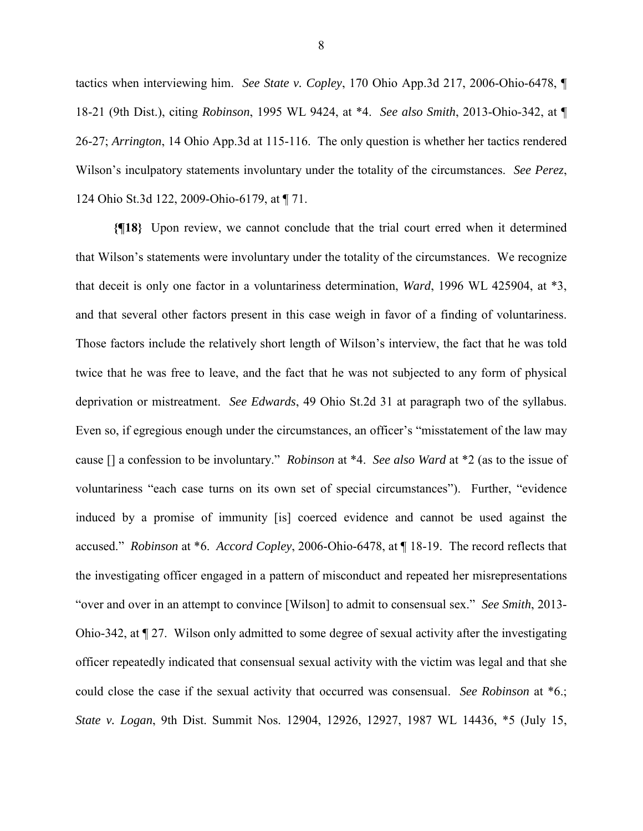tactics when interviewing him. *See State v. Copley*, 170 Ohio App.3d 217, 2006-Ohio-6478, ¶ 18-21 (9th Dist.), citing *Robinson*, 1995 WL 9424, at \*4. *See also Smith*, 2013-Ohio-342, at ¶ 26-27; *Arrington*, 14 Ohio App.3d at 115-116. The only question is whether her tactics rendered Wilson's inculpatory statements involuntary under the totality of the circumstances. *See Perez*, 124 Ohio St.3d 122, 2009-Ohio-6179, at ¶ 71.

**{¶18}** Upon review, we cannot conclude that the trial court erred when it determined that Wilson's statements were involuntary under the totality of the circumstances. We recognize that deceit is only one factor in a voluntariness determination, *Ward*, 1996 WL 425904, at \*3, and that several other factors present in this case weigh in favor of a finding of voluntariness. Those factors include the relatively short length of Wilson's interview, the fact that he was told twice that he was free to leave, and the fact that he was not subjected to any form of physical deprivation or mistreatment. *See Edwards*, 49 Ohio St.2d 31 at paragraph two of the syllabus. Even so, if egregious enough under the circumstances, an officer's "misstatement of the law may cause [] a confession to be involuntary." *Robinson* at \*4. *See also Ward* at \*2 (as to the issue of voluntariness "each case turns on its own set of special circumstances"). Further, "evidence induced by a promise of immunity [is] coerced evidence and cannot be used against the accused." *Robinson* at \*6. *Accord Copley*, 2006-Ohio-6478, at ¶ 18-19. The record reflects that the investigating officer engaged in a pattern of misconduct and repeated her misrepresentations "over and over in an attempt to convince [Wilson] to admit to consensual sex." *See Smith*, 2013- Ohio-342, at ¶ 27. Wilson only admitted to some degree of sexual activity after the investigating officer repeatedly indicated that consensual sexual activity with the victim was legal and that she could close the case if the sexual activity that occurred was consensual. *See Robinson* at \*6.; *State v. Logan*, 9th Dist. Summit Nos. 12904, 12926, 12927, 1987 WL 14436, \*5 (July 15,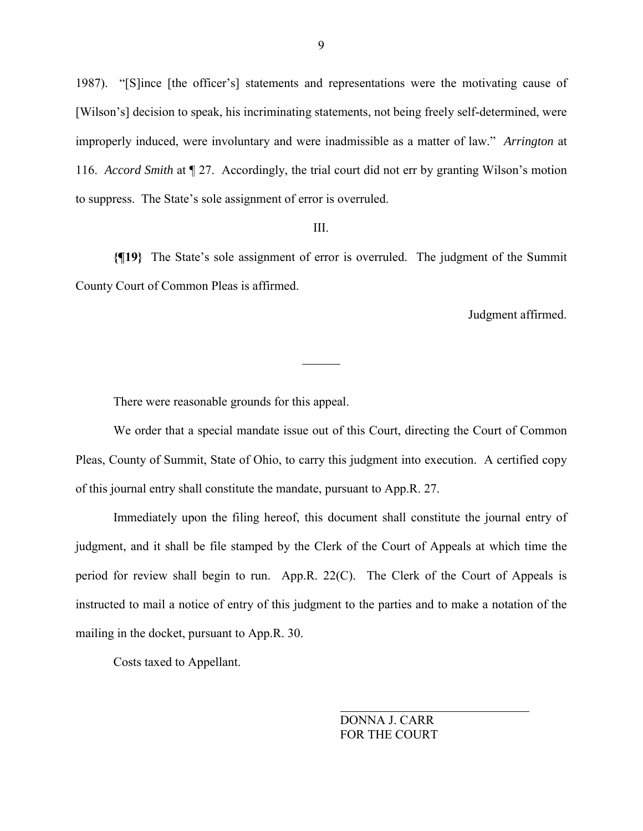1987). "[S]ince [the officer's] statements and representations were the motivating cause of [Wilson's] decision to speak, his incriminating statements, not being freely self-determined, were improperly induced, were involuntary and were inadmissible as a matter of law." *Arrington* at 116. *Accord Smith* at ¶ 27. Accordingly, the trial court did not err by granting Wilson's motion to suppress. The State's sole assignment of error is overruled.

### III.

**{¶19}** The State's sole assignment of error is overruled. The judgment of the Summit County Court of Common Pleas is affirmed.

 $\overline{a}$ 

Judgment affirmed.

There were reasonable grounds for this appeal.

 We order that a special mandate issue out of this Court, directing the Court of Common Pleas, County of Summit, State of Ohio, to carry this judgment into execution. A certified copy of this journal entry shall constitute the mandate, pursuant to App.R. 27.

 Immediately upon the filing hereof, this document shall constitute the journal entry of judgment, and it shall be file stamped by the Clerk of the Court of Appeals at which time the period for review shall begin to run. App.R. 22(C). The Clerk of the Court of Appeals is instructed to mail a notice of entry of this judgment to the parties and to make a notation of the mailing in the docket, pursuant to App.R. 30.

Costs taxed to Appellant.

 DONNA J. CARR FOR THE COURT